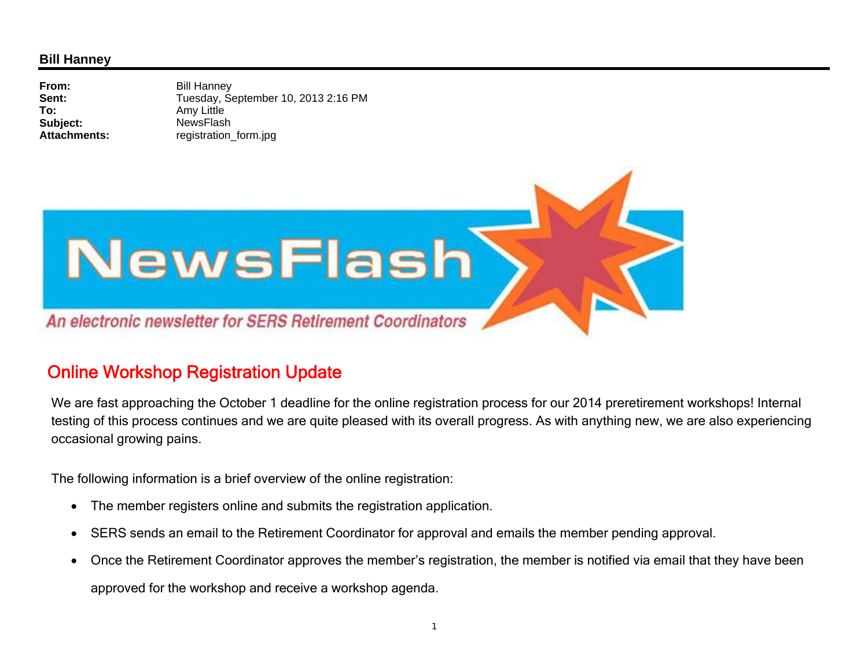## **Bill Hanney**

**From:** Bill Hanney **Sent:** Tuesday, September 10, 2013 2:16 PM **To:** Amy Little **Subject:** NewsFlash **Attachments:**registration form.jpg



## Online Workshop Registration Update

We are fast approaching the October 1 deadline for the online registration process for our 2014 preretirement workshops! Internal testing of this process continues and we are quite pleased with its overall progress. As with anything new, we are also experiencing occasional growing pains.

The following information is a brief overview of the online registration:

- $\bullet$ The member registers online and submits the registration application.
- $\bullet$ SERS sends an email to the Retirement Coordinator for approval and emails the member pending approval.
- $\bullet$  Once the Retirement Coordinator approves the member's registration, the member is notified via email that they have been approved for the workshop and receive a workshop agenda.